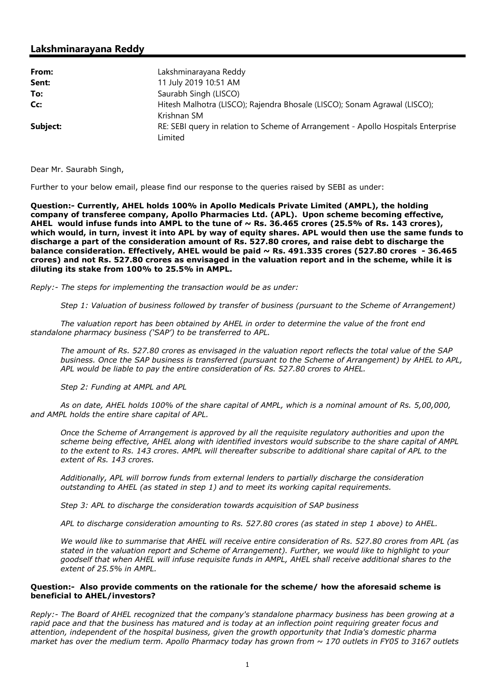# Lakshminarayana Reddy

| From:    | Lakshminarayana Reddy                                                             |
|----------|-----------------------------------------------------------------------------------|
| Sent:    | 11 July 2019 10:51 AM                                                             |
| To:      | Saurabh Singh (LISCO)                                                             |
| Cc:      | Hitesh Malhotra (LISCO); Rajendra Bhosale (LISCO); Sonam Agrawal (LISCO);         |
|          | Krishnan SM                                                                       |
| Subject: | RE: SEBI query in relation to Scheme of Arrangement - Apollo Hospitals Enterprise |
|          | Limited                                                                           |

Dear Mr. Saurabh Singh,

Further to your below email, please find our response to the queries raised by SEBI as under:

Question:- Currently, AHEL holds 100% in Apollo Medicals Private Limited (AMPL), the holding company of transferee company, Apollo Pharmacies Ltd. (APL). Upon scheme becoming effective, AHEL would infuse funds into AMPL to the tune of  $\sim$  Rs. 36.465 crores (25.5% of Rs. 143 crores), which would, in turn, invest it into APL by way of equity shares. APL would then use the same funds to discharge a part of the consideration amount of Rs. 527.80 crores, and raise debt to discharge the balance consideration. Effectively, AHEL would be paid  $\sim$  Rs. 491.335 crores (527.80 crores - 36.465 crores) and not Rs. 527.80 crores as envisaged in the valuation report and in the scheme, while it is diluting its stake from 100% to 25.5% in AMPL.

Reply:- The steps for implementing the transaction would be as under:

Step 1: Valuation of business followed by transfer of business (pursuant to the Scheme of Arrangement)

The valuation report has been obtained by AHEL in order to determine the value of the front end standalone pharmacy business ('SAP') to be transferred to APL.

The amount of Rs. 527.80 crores as envisaged in the valuation report reflects the total value of the SAP business. Once the SAP business is transferred (pursuant to the Scheme of Arrangement) by AHEL to APL, APL would be liable to pay the entire consideration of Rs. 527.80 crores to AHEL.

Step 2: Funding at AMPL and APL

As on date, AHEL holds 100% of the share capital of AMPL, which is a nominal amount of Rs. 5,00,000, and AMPL holds the entire share capital of APL.

Once the Scheme of Arrangement is approved by all the requisite regulatory authorities and upon the scheme being effective, AHEL along with identified investors would subscribe to the share capital of AMPL to the extent to Rs. 143 crores. AMPL will thereafter subscribe to additional share capital of APL to the extent of Rs. 143 crores.

Additionally, APL will borrow funds from external lenders to partially discharge the consideration outstanding to AHEL (as stated in step 1) and to meet its working capital requirements.

Step 3: APL to discharge the consideration towards acquisition of SAP business

APL to discharge consideration amounting to Rs. 527.80 crores (as stated in step 1 above) to AHEL.

We would like to summarise that AHEL will receive entire consideration of Rs. 527.80 crores from APL (as stated in the valuation report and Scheme of Arrangement). Further, we would like to highlight to your goodself that when AHEL will infuse requisite funds in AMPL, AHEL shall receive additional shares to the extent of 25.5% in AMPL.

### Question:- Also provide comments on the rationale for the scheme/ how the aforesaid scheme is beneficial to AHEL/investors?

Reply:- The Board of AHEL recognized that the company's standalone pharmacy business has been growing at a rapid pace and that the business has matured and is today at an inflection point requiring greater focus and attention, independent of the hospital business, given the growth opportunity that India's domestic pharma market has over the medium term. Apollo Pharmacy today has grown from  $\sim$  170 outlets in FY05 to 3167 outlets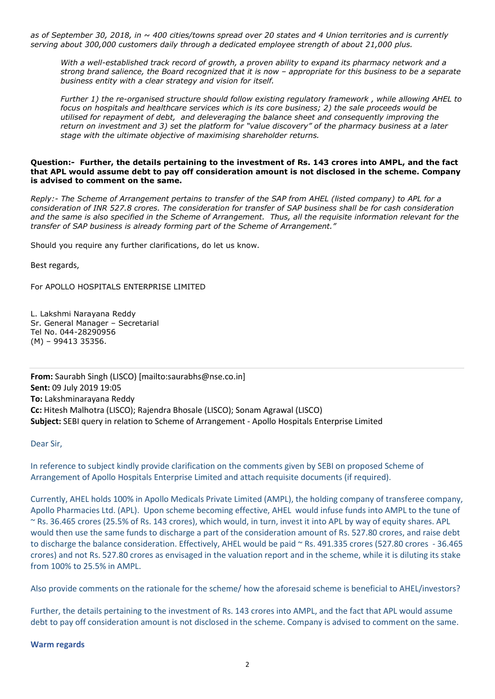as of September 30, 2018, in  $\sim$  400 cities/towns spread over 20 states and 4 Union territories and is currently serving about 300,000 customers daily through a dedicated employee strength of about 21,000 plus.

With a well-established track record of growth, a proven ability to expand its pharmacy network and a strong brand salience, the Board recognized that it is now – appropriate for this business to be a separate business entity with a clear strategy and vision for itself.

Further 1) the re-organised structure should follow existing regulatory framework , while allowing AHEL to focus on hospitals and healthcare services which is its core business; 2) the sale proceeds would be utilised for repayment of debt, and deleveraging the balance sheet and consequently improving the return on investment and 3) set the platform for "value discovery" of the pharmacy business at a later stage with the ultimate objective of maximising shareholder returns.

#### Question:- Further, the details pertaining to the investment of Rs. 143 crores into AMPL, and the fact that APL would assume debt to pay off consideration amount is not disclosed in the scheme. Company is advised to comment on the same.

Reply:- The Scheme of Arrangement pertains to transfer of the SAP from AHEL (listed company) to APL for a consideration of INR 527.8 crores. The consideration for transfer of SAP business shall be for cash consideration and the same is also specified in the Scheme of Arrangement. Thus, all the requisite information relevant for the transfer of SAP business is already forming part of the Scheme of Arrangement."

Should you require any further clarifications, do let us know.

Best regards,

For APOLLO HOSPITALS ENTERPRISE LIMITED

L. Lakshmi Narayana Reddy Sr. General Manager – Secretarial Tel No. 044-28290956 (M) – 99413 35356.

From: Saurabh Singh (LISCO) [mailto:saurabhs@nse.co.in] Sent: 09 July 2019 19:05 To: Lakshminarayana Reddy Cc: Hitesh Malhotra (LISCO); Rajendra Bhosale (LISCO); Sonam Agrawal (LISCO) Subject: SEBI query in relation to Scheme of Arrangement - Apollo Hospitals Enterprise Limited

### Dear Sir,

In reference to subject kindly provide clarification on the comments given by SEBI on proposed Scheme of Arrangement of Apollo Hospitals Enterprise Limited and attach requisite documents (if required).

Currently, AHEL holds 100% in Apollo Medicals Private Limited (AMPL), the holding company of transferee company, Apollo Pharmacies Ltd. (APL). Upon scheme becoming effective, AHEL would infuse funds into AMPL to the tune of ~ Rs. 36.465 crores (25.5% of Rs. 143 crores), which would, in turn, invest it into APL by way of equity shares. APL would then use the same funds to discharge a part of the consideration amount of Rs. 527.80 crores, and raise debt to discharge the balance consideration. Effectively, AHEL would be paid ~ Rs. 491.335 crores (527.80 crores - 36.465 crores) and not Rs. 527.80 crores as envisaged in the valuation report and in the scheme, while it is diluting its stake from 100% to 25.5% in AMPL.

Also provide comments on the rationale for the scheme/ how the aforesaid scheme is beneficial to AHEL/investors?

Further, the details pertaining to the investment of Rs. 143 crores into AMPL, and the fact that APL would assume debt to pay off consideration amount is not disclosed in the scheme. Company is advised to comment on the same.

### Warm regards